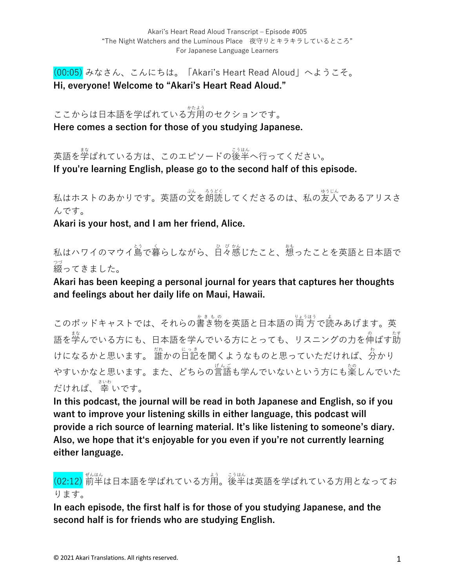(00:05) みなさん、こんにちは。「Akari's Heart Read Aloud」へようこそ。 **Hi, everyone! Welcome to "Akari's Heart Read Aloud."**

ここからは日本語を学ばれている方用のセクションです。 **Here comes a section for those of you studying Japanese.**

英語を学ばれている方は、このエピソードの後半へ行ってください。 **If you're learning English, please go to the second half of this episode.**

私はホストのあかりです。英語の文を朗読してくださるのは、私の友人であるアリスさ んです。

**Akari is your host, and I am her friend, Alice.**

私はハワイのマウイ島で暮らしながら、日々感じたこと、想ったことを英語と日本語で 綴 つづ ってきました。

**Akari has been keeping a personal journal for years that captures her thoughts and feelings about her daily life on Maui, Hawaii.** 

このポッドキャストでは、それらの書き物を英語と日本語の両方で読みあげます。英 語を学んでいる方にも、日本語を学んでいる方にとっても、リスニングの力を伸ばす莇 けになるかと思います。 誰かの日記を聞くようなものと思っていただければ、分かり やすいかなと思います。また、どちらの言語も学んでいないという方にも楽しんでいた だければ、 幸 さいわ いです。

**In this podcast, the journal will be read in both Japanese and English, so if you want to improve your listening skills in either language, this podcast will provide a rich source of learning material. It's like listening to someone's diary. Also, we hope that itʻs enjoyable for you even if you're not currently learning either language.**

(02:12) 前半 ぜんはん は⽇本語を学ばれている⽅⽤ よう 。後半 こうはん は英語を学ばれている⽅⽤となってお ります。

**In each episode, the first half is for those of you studying Japanese, and the second half is for friends who are studying English.**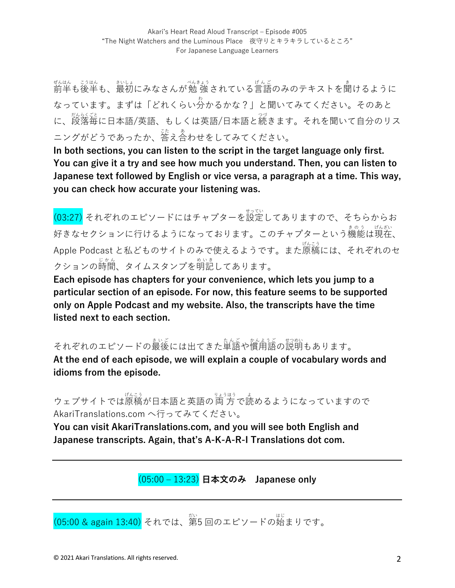ぜんはん。 ジュト、ジング (人きょう) べんきょう こうじんご のみのテキストを聞けるように なっています。まずは「どれくらい分 わ かるかな?」と聞いてみてください。そのあと に、<sub>怒怒くな</sub><br>に、段落毎に日本語/英語、もしくは英語/日本語と続きます。それを聞いて自分のリス ニングがどうであったか、答え合わせをしてみてください。

**In both sections, you can listen to the script in the target language only first. You can give it a try and see how much you understand. Then, you can listen to Japanese text followed by English or vice versa, a paragraph at a time. This way, you can check how accurate your listening was.**

。<br>(03:27) それぞれのエピソードにはチャプターを設定してありますので、そちらからお 好きなセクションに行けるようになっております。このチャプターという機能は現在、 Apple Podcast と私どものサイトのみで使えるようです。また原稿 げんこう には、それぞれのセ クションの時間、タイムスタンプを明記してあります。

**Each episode has chapters for your convenience, which lets you jump to a particular section of an episode. For now, this feature seems to be supported only on Apple Podcast and my website. Also, the transcripts have the time listed next to each section.**

それぞれのエピソードの最後には出てきた単語や慣甪語の説明もあります。

**At the end of each episode, we will explain a couple of vocabulary words and idioms from the episode.** 

ウェブサイトでは原稿が日本語と英語の両方で読めるようになっていますので AkariTranslations.com へ⾏ってみてください。

**You can visit AkariTranslations.com, and you will see both English and Japanese transcripts. Again, that's A-K-A-R-I Translations dot com.**

(05:00 ‒ 13:23) **⽇本⽂のみ Japanese only**

(05:00 & again 13:40) それでは、第5 回のエピソードの始まりです。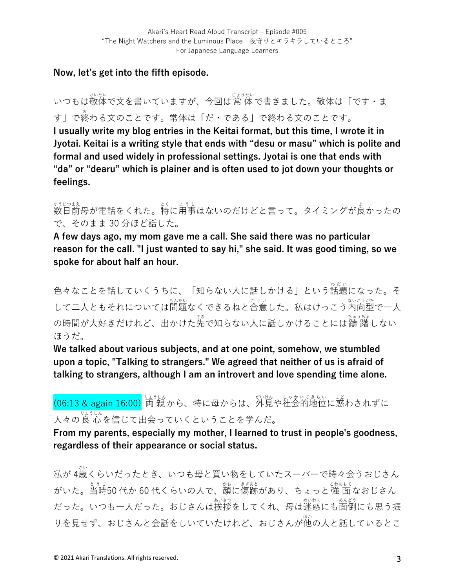### **Now, let's get into the fifth episode.**

いつもは敬体で文を書いていますが、今回は常 体で書きました。敬体は「です・ま す」で終 お わる⽂のことです。常体は「だ・である」で終わる⽂のことです。 **I usually write my blog entries in the Keitai format, but this time, I wrote it in Jyotai. Keitai is a writing style that ends with "desu or masu" which is polite and formal and used widely in professional settings. Jyotai is one that ends with "da" or "dearu" which is plainer and is often used to jot down your thoughts or feelings.**

≠ラヒウまネ<br>数日前母が電話をくれた。特に用事はないのだけどと言って。タイミングが良かったの で、そのまま 30 分ほど話した。

**A few days ago, my mom gave me a call. She said there was no particular reason for the call. "I just wanted to say hi," she said. It was good timing, so we spoke for about half an hour.**

色々なことを話していくうちに、「知らない人に話しかける」という話題になった。そ して二人ともそれについては問題なくできるねと合意した。私はけっこう内向型で一人 の時間が大好きだけれど、出かけた先で知らない人に話しかけることには躊躇しない ほうだ。

**We talked about various subjects, and at one point, somehow, we stumbled upon a topic, "Talking to strangers." We agreed that neither of us is afraid of talking to strangers, although I am an introvert and love spending time alone.**

# (06:13 & again 16:00) 両 親から、特に母からは、外見や社会的地位に惑わされずに 人々の良心。<br>人々の良心を信じて出会っていくということを学んだ。

**From my parents, especially my mother, I learned to trust in people's goodness, regardless of their appearance or social status.** 

 $\hbar$ が 4歳くらいだったとき、いつも母と買い物をしていたスーパーで時々会うおじさん がいた。当時50 代か 60 代くらいの人で、藭に傷跡があり、ちょっと 強 面なおじさん たった。いつも一人だった。おじさんは挨拶をしてくれ、母は迷惑にも面倒にも思う振 りを見せず、おじさんと会話をしいていたけれど、おじさんが他の人と話しているとこ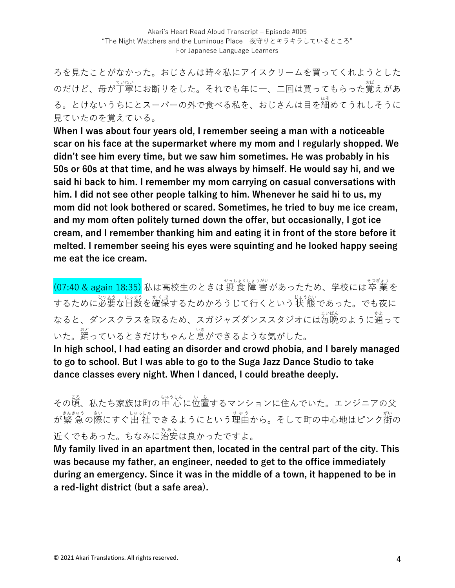ろを⾒たことがなかった。おじさんは時々私にアイスクリームを買ってくれようとした のだけど、母が丁寧にお断りをした。それでも年に一、二回は買ってもらった覚えがあ る。とけないうちにとスーパーの外で食べる私を、おじさんは目を細めてうれしそうに ⾒ていたのを覚えている。

**When I was about four years old, I remember seeing a man with a noticeable scar on his face at the supermarket where my mom and I regularly shopped. We didn't see him every time, but we saw him sometimes. He was probably in his 50s or 60s at that time, and he was always by himself. He would say hi, and we said hi back to him. I remember my mom carrying on casual conversations with him. I did not see other people talking to him. Whenever he said hi to us, my mom did not look bothered or scared. Sometimes, he tried to buy me ice cream, and my mom often politely turned down the offer, but occasionally, I got ice cream, and I remember thanking him and eating it in front of the store before it melted. I remember seeing his eyes were squinting and he looked happy seeing me eat the ice cream.** 

(07:40 & again 18:35) 私は高校生のときは摂 食 障 害があったため、学校には卒 業を するために必要な日数を確保するためかろうじて行くという状 態であった。でも夜に なると、ダンスクラスを取るため、スガジャズダンススタジオには毎晩のように通って いた。踊っているときだけちゃんと息ができるような気がした。

**In high school, I had eating an disorder and crowd phobia, and I barely managed to go to school. But I was able to go to the Suga Jazz Dance Studio to take dance classes every night. When I danced, I could breathe deeply.**

その頃、私たち家族は町の中心に位置するマンションに住んでいた。エンジニアの父 が緊 急 きんきゅう の際 さい にすぐ出 社 しゅっしゃ できるようにという理由 りゆう から。そして町の中⼼地はピンク街 がい の 。<br>近くでもあった。ちなみに治安は良かったですよ。

**My family lived in an apartment then, located in the central part of the city. This was because my father, an engineer, needed to get to the office immediately during an emergency. Since it was in the middle of a town, it happened to be in a red-light district (but a safe area).**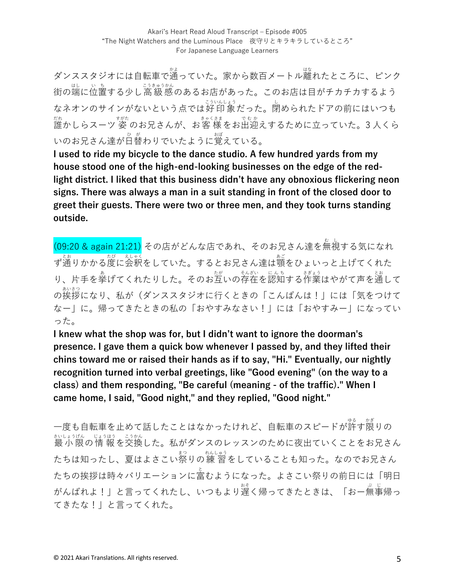ダンススタジオには自転車で通っていた。家から数百メートル離れたところに、ピンク 街の端に位置する少し高級感のあるお店があった。このお店は目がチカチカするよう なネオンのサインがないという点では好印 象だった。閉められたドアの前にはいつも <sub>だれ</sub><br>誰かしらスーツ 姿 のお兄さんが、お客 様をお出迎えするために立っていた。3 人くら いのお兄さん達が日替わりでいたように覚えている。

**I used to ride my bicycle to the dance studio. A few hundred yards from my house stood one of the high-end-looking businesses on the edge of the redlight district. I liked that this business didn't have any obnoxious flickering neon signs. There was always a man in a suit standing in front of the closed door to greet their guests. There were two or three men, and they took turns standing outside.** 

(09:20 & again 21:21) その店がどんな店であれ、そのお兄さん達を無視する気になれ ず通りかかる度に会釈をしていた。するとお兄さん達は顎をひょいっと上げてくれた り、片手を拳げてくれたりした。そのお互いの存在を認知する作業はやがて声を通して の挨拶 あいさつ になり、私が(ダンススタジオに⾏くときの「こんばんは!」には「気をつけて なー」に。帰ってきたときの私の「おやすみなさい!」には「おやすみー」になってい った。

**I knew what the shop was for, but I didn't want to ignore the doorman's presence. I gave them a quick bow whenever I passed by, and they lifted their chins toward me or raised their hands as if to say, "Hi." Eventually, our nightly recognition turned into verbal greetings, like "Good evening" (on the way to a class) and them responding, "Be careful (meaning - of the traffic)." When I came home, I said, "Good night," and they replied, "Good night."** 

一度も自転車を止めて話したことはなかったけれど、自転車のスピードが許す限りの まいしょうほん。こうかん。<br>最 小 限 の 情 報 を交換した。私がダンスのレッスンのために夜出ていくことをお兄さん たちは知ったし、夏はよさこい祭りの練 習をしていることも知った。なのでお兄さん たちの挨拶は時々バリエーションに富むようになった。よさこい祭りの前日には「明日 がんばれよ!」と言ってくれたし、いつもより遅く帰ってきたときは、「おー無事帰っ てきたな!」と⾔ってくれた。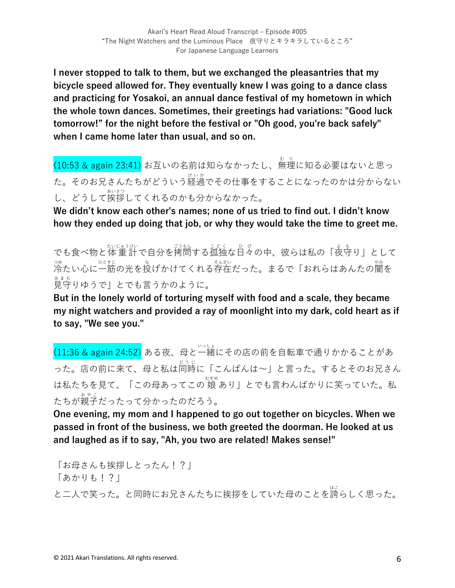**I never stopped to talk to them, but we exchanged the pleasantries that my bicycle speed allowed for. They eventually knew I was going to a dance class and practicing for Yosakoi, an annual dance festival of my hometown in which the whole town dances. Sometimes, their greetings had variations: "Good luck tomorrow!" for the night before the festival or "Oh good, you're back safely" when I came home later than usual, and so on.** 

(10:53 & again 23:41) お互いの名前は知らなかったし、無理に知る必要はないと思っ た。そのお兄さんたちがどういう経過でその仕事をすることになったのかは分からない し、どうして挨拶してくれるのかも分からなかった。

**We didn't know each other's names; none of us tried to find out. I didn't know how they ended up doing that job, or why they would take the time to greet me.** 

でも食べ物と体重計で自分を拷問する孤独な日々の中、彼らは私の「夜寺り」として 冷 つめ たい⼼に⼀筋 ひとすじ の光を投 な げかけてくれる存在 そんざい だった。まるで「おれらはあんたの闇 やみ を 。<br>見守りゆうで」とでも言うかのように。

**But in the lonely world of torturing myself with food and a scale, they became my night watchers and provided a ray of moonlight into my dark, cold heart as if to say, "We see you."**

(11:36 & again 24:52) ある夜、母と一緒にその店の前を自転車で通りかかることがあ った。店の前に来て、母と私は同時に「こんばんは~」と言った。するとそのお兄さん は私たちを見て、「この母あってこの 娘 あり」とでも言わんばかりに笑っていた。私 たちが親子だったって分かったのだろう。

**One evening, my mom and I happened to go out together on bicycles. When we passed in front of the business, we both greeted the doorman. He looked at us and laughed as if to say, "Ah, you two are related! Makes sense!"** 

「お⺟さんも挨拶しとったん!?」 「あかりも!?」 と二人で笑った。と同時にお兄さんたちに挨拶をしていた母のことを誇らしく思った。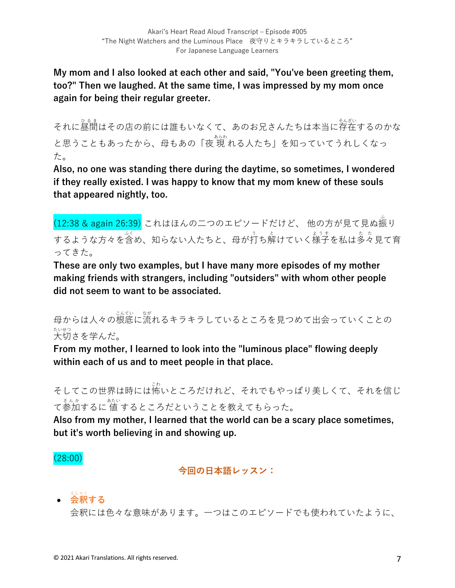**My mom and I also looked at each other and said, "You've been greeting them, too?" Then we laughed. At the same time, I was impressed by my mom once again for being their regular greeter.**

<sub>それに昼間</sub>はその店の前には誰もいなくて、あのお兄さんたちは本当に存在するのかな と思うこともあったから、母もあの「夜 現 れる人たち」を知っていてうれしくなっ た。

**Also, no one was standing there during the daytime, so sometimes, I wondered if they really existed. I was happy to know that my mom knew of these souls that appeared nightly, too.**

(12:38 & again 26:39) これはほんの二つのエピソードだけど、 他の方が見て見ぬ振り するような方々を含め、知らない人たちと、母が打ち解けていく様子を私は多々見て育 ってきた。

**These are only two examples, but I have many more episodes of my mother making friends with strangers, including "outsiders" with whom other people did not seem to want to be associated.** 

母からは人々の根底に流れるキラキラしているところを見つめて出会っていくことの 。<br>大切さを学んだ。

**From my mother, I learned to look into the "luminous place" flowing deeply within each of us and to meet people in that place.** 

そしてこの世界は時には怖いところだけれど、それでもやっぱり美しくて、それを信じ て参加するに 値 するところだということを教えてもらった。

**Also from my mother, I learned that the world can be a scary place sometimes, but it's worth believing in and showing up.**

(28:00)

**今回の⽇本語レッスン:**

• **会釈 する** えしゃく

会釈には⾊々な意味があります。⼀つはこのエピソードでも使われていたように、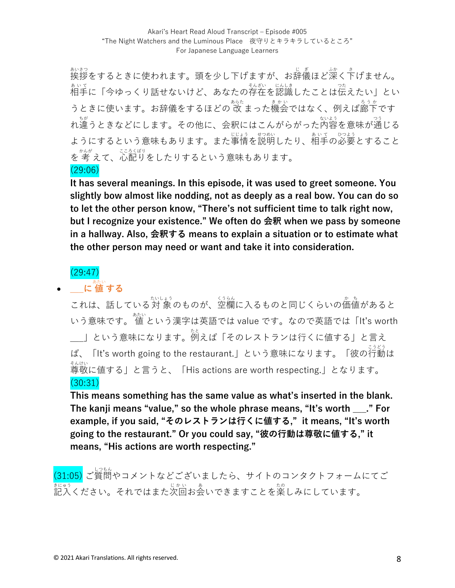<sub>かおっ</sub><br>挨拶をするときに使われます。頭を少し下げますが、お辞儀ほど深く下げません。 。。。。<br>相手に「今ゆっくり話せないけど、あなたの存在を認識したことは伝えたい」とい うときに使います。お辞儀をするほどの 改 まった機会ではなく、例えば廊下です れ違 ちが うときなどにします。その他に、会釈にはこんがらがった内容 ないよう を意味が通 つう じる ようにするという意味もあります。また事情を説明したり、相手の必要とすること 。<br>を 考 えて、心配りをしたりするという意味もあります。 (29:06)

**It has several meanings. In this episode, it was used to greet someone. You slightly bow almost like nodding, not as deeply as a real bow. You can do so to let the other person know, "There's not sufficient time to talk right now, but I recognize your existence." We often do 会釈 when we pass by someone in a hallway. Also, 会釈する means to explain a situation or to estimate what the other person may need or want and take it into consideration.** 

### (29:47)

## • **\_\_\_に 値** あたい **する**

これは、話している対 象のものが、空欄に入るものと同じくらいの価値があると いう意味です。 値 あたい という漢字は英語では value です。なので英語では「It's worth \_\_\_」という意味になります。<sup>など</sup>えば「そのレストランは行くに値する」と言え ば、「It's worth going to the restaurant.」という意味になります。「彼の行動は \*ん<sub>けい</sub><br>尊敬に値する」と言うと、「His actions are worth respecting.」となります。 (30:31)

**This means something has the same value as what's inserted in the blank. The kanji means "value," so the whole phrase means, "It's worth \_\_\_." For example, if you said, "そのレストランは⾏くに値する," it means, "It's worth going to the restaurant." Or you could say, "彼の⾏動は尊敬に値する," it means, "His actions are worth respecting."**

。<br>(31:05) ご質問やコメントなどございましたら、サイトのコンタクトフォームにてご まヒゅう<br>記入ください。それではまた次回お会いできますことを楽しみにしています。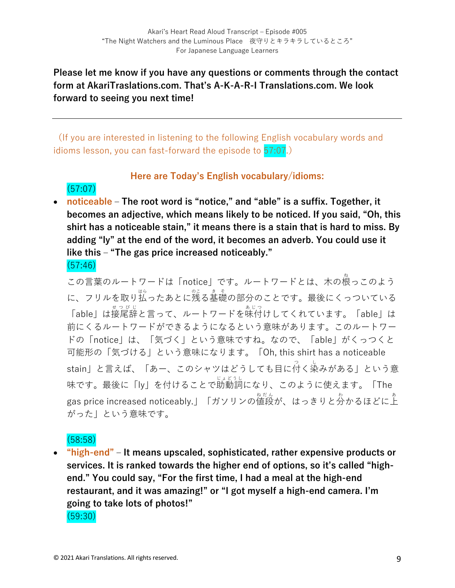### **Please let me know if you have any questions or comments through the contact form at AkariTraslations.com. That's A-K-A-R-I Translations.com. We look forward to seeing you next time!**

(If you are interested in listening to the following English vocabulary words and idioms lesson, you can fast-forward the episode to 57:07.)

### **Here are Today's English vocabulary/idioms:**

• **noticeable ‒ The root word is "notice," and "able" is a suffix. Together, it becomes an adjective, which means likely to be noticed. If you said, "Oh, this shirt has a noticeable stain," it means there is a stain that is hard to miss. By adding "ly" at the end of the word, it becomes an adverb. You could use it like this ‒ "The gas price increased noticeably."** (57:46)

この言葉のルートワードは「notice」です。ルートワードとは、木の根っこのよう に、フリルを取り払ったあとに残る基礎の部分のことです。最後にくっついている 「able」は接尾辞と言って、ルートワードを味付けしてくれています。「able」は 前にくるルートワードができるようになるという意味があります。このルートワー ドの「notice」は、「気づく」という意味ですね。なので、「able」がくっつくと 可能形の「気づける」という意味になります。「Oh, this shirt has a noticeable stain」と言えば、「あー、このシャツはどうしても目に $\overset{\circ}{\rm{H}}$ く染みがある」という意 味です。最後に「ly」を付けることで助動詞 じょどうし になり、このように使えます。「The gas price increased noticeably.」「ガソリンの値段が、はっきりと分かるほどに上 がった」という意味です。

### (58:58)

(57:07)

• **"high-end" ‒ It means upscaled, sophisticated, rather expensive products or services. It is ranked towards the higher end of options, so it's called "highend." You could say, "For the first time, I had a meal at the high-end restaurant, and it was amazing!" or "I got myself a high-end camera. I'm going to take lots of photos!"**  (59:30)